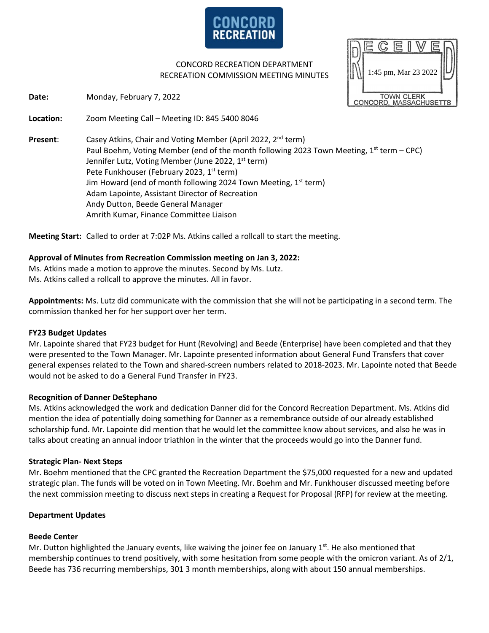

CONCORD RECREATION DEPARTMENT RECREATION COMMISSION MEETING MINUTES

**Date:** Monday, February 7, 2022

**Location:** Zoom Meeting Call – Meeting ID: 845 5400 8046

**Present:** Casey Atkins, Chair and Voting Member (April 2022, 2<sup>nd</sup> term) Paul Boehm, Voting Member (end of the month following 2023 Town Meeting,  $1<sup>st</sup>$  term – CPC) Jennifer Lutz, Voting Member (June 2022, 1<sup>st</sup> term) Pete Funkhouser (February 2023, 1<sup>st</sup> term) Jim Howard (end of month following 2024 Town Meeting,  $1<sup>st</sup>$  term) Adam Lapointe, Assistant Director of Recreation Andy Dutton, Beede General Manager Amrith Kumar, Finance Committee Liaison

**Meeting Start:** Called to order at 7:02P Ms. Atkins called a rollcall to start the meeting.

### **Approval of Minutes from Recreation Commission meeting on Jan 3, 2022:**

Ms. Atkins made a motion to approve the minutes. Second by Ms. Lutz. Ms. Atkins called a rollcall to approve the minutes. All in favor.

**Appointments:** Ms. Lutz did communicate with the commission that she will not be participating in a second term. The commission thanked her for her support over her term.

#### **FY23 Budget Updates**

Mr. Lapointe shared that FY23 budget for Hunt (Revolving) and Beede (Enterprise) have been completed and that they were presented to the Town Manager. Mr. Lapointe presented information about General Fund Transfers that cover general expenses related to the Town and shared-screen numbers related to 2018-2023. Mr. Lapointe noted that Beede would not be asked to do a General Fund Transfer in FY23.

# **Recognition of Danner DeStephano**

Ms. Atkins acknowledged the work and dedication Danner did for the Concord Recreation Department. Ms. Atkins did mention the idea of potentially doing something for Danner as a remembrance outside of our already established scholarship fund. Mr. Lapointe did mention that he would let the committee know about services, and also he was in talks about creating an annual indoor triathlon in the winter that the proceeds would go into the Danner fund.

# **Strategic Plan- Next Steps**

Mr. Boehm mentioned that the CPC granted the Recreation Department the \$75,000 requested for a new and updated strategic plan. The funds will be voted on in Town Meeting. Mr. Boehm and Mr. Funkhouser discussed meeting before the next commission meeting to discuss next steps in creating a Request for Proposal (RFP) for review at the meeting.

#### **Department Updates**

# **Beede Center**

Mr. Dutton highlighted the January events, like waiving the joiner fee on January  $1^{st}$ . He also mentioned that membership continues to trend positively, with some hesitation from some people with the omicron variant. As of 2/1, Beede has 736 recurring memberships, 301 3 month memberships, along with about 150 annual memberships.